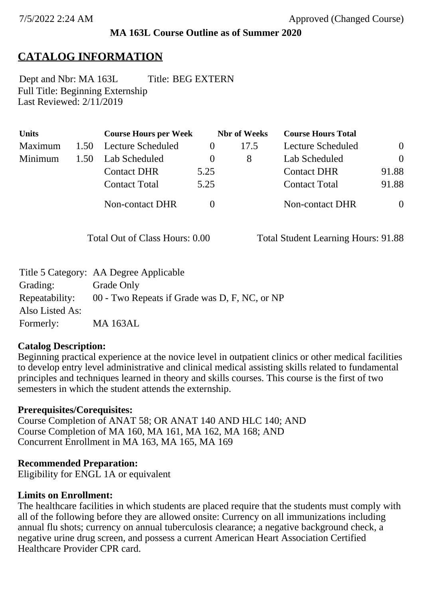### **MA 163L Course Outline as of Summer 2020**

## **CATALOG INFORMATION**

Full Title: Beginning Externship Last Reviewed: 2/11/2019 Dept and Nbr: MA 163L Title: BEG EXTERN

| <b>Units</b> |      | <b>Course Hours per Week</b> |          | <b>Nbr</b> of Weeks | <b>Course Hours Total</b> |                |
|--------------|------|------------------------------|----------|---------------------|---------------------------|----------------|
| Maximum      | 1.50 | Lecture Scheduled            |          | 17.5                | Lecture Scheduled         | $\overline{0}$ |
| Minimum      | 1.50 | Lab Scheduled                | $\theta$ | 8                   | Lab Scheduled             | $\theta$       |
|              |      | <b>Contact DHR</b>           | 5.25     |                     | <b>Contact DHR</b>        | 91.88          |
|              |      | <b>Contact Total</b>         | 5.25     |                     | <b>Contact Total</b>      | 91.88          |
|              |      | Non-contact DHR              |          |                     | Non-contact DHR           | $\overline{0}$ |

Total Out of Class Hours: 0.00 Total Student Learning Hours: 91.88

|                 | Title 5 Category: AA Degree Applicable        |
|-----------------|-----------------------------------------------|
| Grading:        | Grade Only                                    |
| Repeatability:  | 00 - Two Repeats if Grade was D, F, NC, or NP |
| Also Listed As: |                                               |
| Formerly:       | <b>MA 163AL</b>                               |

### **Catalog Description:**

Beginning practical experience at the novice level in outpatient clinics or other medical facilities to develop entry level administrative and clinical medical assisting skills related to fundamental principles and techniques learned in theory and skills courses. This course is the first of two semesters in which the student attends the externship.

### **Prerequisites/Corequisites:**

Course Completion of ANAT 58; OR ANAT 140 AND HLC 140; AND Course Completion of MA 160, MA 161, MA 162, MA 168; AND Concurrent Enrollment in MA 163, MA 165, MA 169

### **Recommended Preparation:**

Eligibility for ENGL 1A or equivalent

### **Limits on Enrollment:**

The healthcare facilities in which students are placed require that the students must comply with all of the following before they are allowed onsite: Currency on all immunizations including annual flu shots; currency on annual tuberculosis clearance; a negative background check, a negative urine drug screen, and possess a current American Heart Association Certified Healthcare Provider CPR card.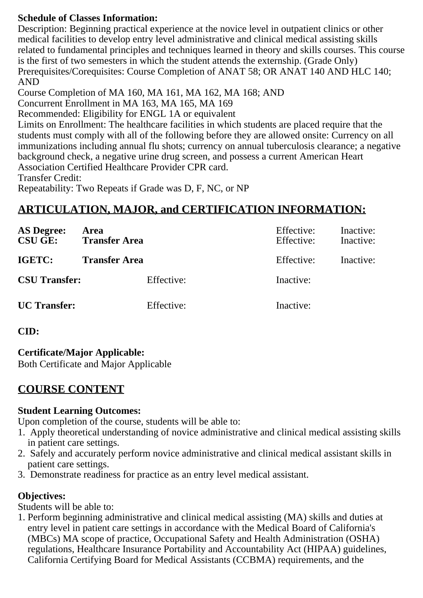### **Schedule of Classes Information:**

Description: Beginning practical experience at the novice level in outpatient clinics or other medical facilities to develop entry level administrative and clinical medical assisting skills related to fundamental principles and techniques learned in theory and skills courses. This course is the first of two semesters in which the student attends the externship. (Grade Only) Prerequisites/Corequisites: Course Completion of ANAT 58; OR ANAT 140 AND HLC 140; AND

Course Completion of MA 160, MA 161, MA 162, MA 168; AND

Concurrent Enrollment in MA 163, MA 165, MA 169

Recommended: Eligibility for ENGL 1A or equivalent

Limits on Enrollment: The healthcare facilities in which students are placed require that the students must comply with all of the following before they are allowed onsite: Currency on all immunizations including annual flu shots; currency on annual tuberculosis clearance; a negative background check, a negative urine drug screen, and possess a current American Heart Association Certified Healthcare Provider CPR card.

Transfer Credit:

Repeatability: Two Repeats if Grade was D, F, NC, or NP

# **ARTICULATION, MAJOR, and CERTIFICATION INFORMATION:**

| <b>AS Degree:</b><br>$CSU$ $GE:$ | Area<br><b>Transfer Area</b> | Effective:<br>Effective: | Inactive:<br>Inactive: |
|----------------------------------|------------------------------|--------------------------|------------------------|
| IGETC:                           | <b>Transfer Area</b>         | Effective:               | Inactive:              |
| <b>CSU Transfer:</b>             | Effective:                   | Inactive:                |                        |
| <b>UC</b> Transfer:              | Effective:                   | Inactive:                |                        |

**CID:**

**Certificate/Major Applicable:** 

[Both Certificate and Major Applicable](SR_ClassCheck.aspx?CourseKey=MA163L)

## **COURSE CONTENT**

### **Student Learning Outcomes:**

Upon completion of the course, students will be able to:

- 1. Apply theoretical understanding of novice administrative and clinical medical assisting skills in patient care settings.
- 2. Safely and accurately perform novice administrative and clinical medical assistant skills in patient care settings.
- 3. Demonstrate readiness for practice as an entry level medical assistant.

### **Objectives:**

Students will be able to:

1. Perform beginning administrative and clinical medical assisting (MA) skills and duties at entry level in patient care settings in accordance with the Medical Board of California's (MBCs) MA scope of practice, Occupational Safety and Health Administration (OSHA) regulations, Healthcare Insurance Portability and Accountability Act (HIPAA) guidelines, California Certifying Board for Medical Assistants (CCBMA) requirements, and the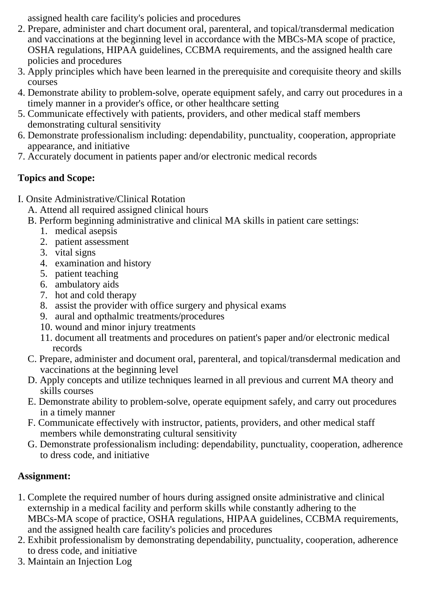assigned health care facility's policies and procedures

- 2. Prepare, administer and chart document oral, parenteral, and topical/transdermal medication and vaccinations at the beginning level in accordance with the MBCs-MA scope of practice, OSHA regulations, HIPAA guidelines, CCBMA requirements, and the assigned health care policies and procedures
- 3. Apply principles which have been learned in the prerequisite and corequisite theory and skills courses
- 4. Demonstrate ability to problem-solve, operate equipment safely, and carry out procedures in a timely manner in a provider's office, or other healthcare setting
- 5. Communicate effectively with patients, providers, and other medical staff members demonstrating cultural sensitivity
- 6. Demonstrate professionalism including: dependability, punctuality, cooperation, appropriate appearance, and initiative
- 7. Accurately document in patients paper and/or electronic medical records

## **Topics and Scope:**

I. Onsite Administrative/Clinical Rotation

A. Attend all required assigned clinical hours

B. Perform beginning administrative and clinical MA skills in patient care settings:

- 1. medical asepsis
- 2. patient assessment
- 3. vital signs
- 4. examination and history
- 5. patient teaching
- 6. ambulatory aids
- 7. hot and cold therapy
- 8. assist the provider with office surgery and physical exams
- 9. aural and opthalmic treatments/procedures
- 10. wound and minor injury treatments
- 11. document all treatments and procedures on patient's paper and/or electronic medical records
- C. Prepare, administer and document oral, parenteral, and topical/transdermal medication and vaccinations at the beginning level
- D. Apply concepts and utilize techniques learned in all previous and current MA theory and skills courses
- E. Demonstrate ability to problem-solve, operate equipment safely, and carry out procedures in a timely manner
- F. Communicate effectively with instructor, patients, providers, and other medical staff members while demonstrating cultural sensitivity
- G. Demonstrate professionalism including: dependability, punctuality, cooperation, adherence to dress code, and initiative

## **Assignment:**

- 1. Complete the required number of hours during assigned onsite administrative and clinical externship in a medical facility and perform skills while constantly adhering to the MBCs-MA scope of practice, OSHA regulations, HIPAA guidelines, CCBMA requirements, and the assigned health care facility's policies and procedures
- 2. Exhibit professionalism by demonstrating dependability, punctuality, cooperation, adherence to dress code, and initiative
- 3. Maintain an Injection Log